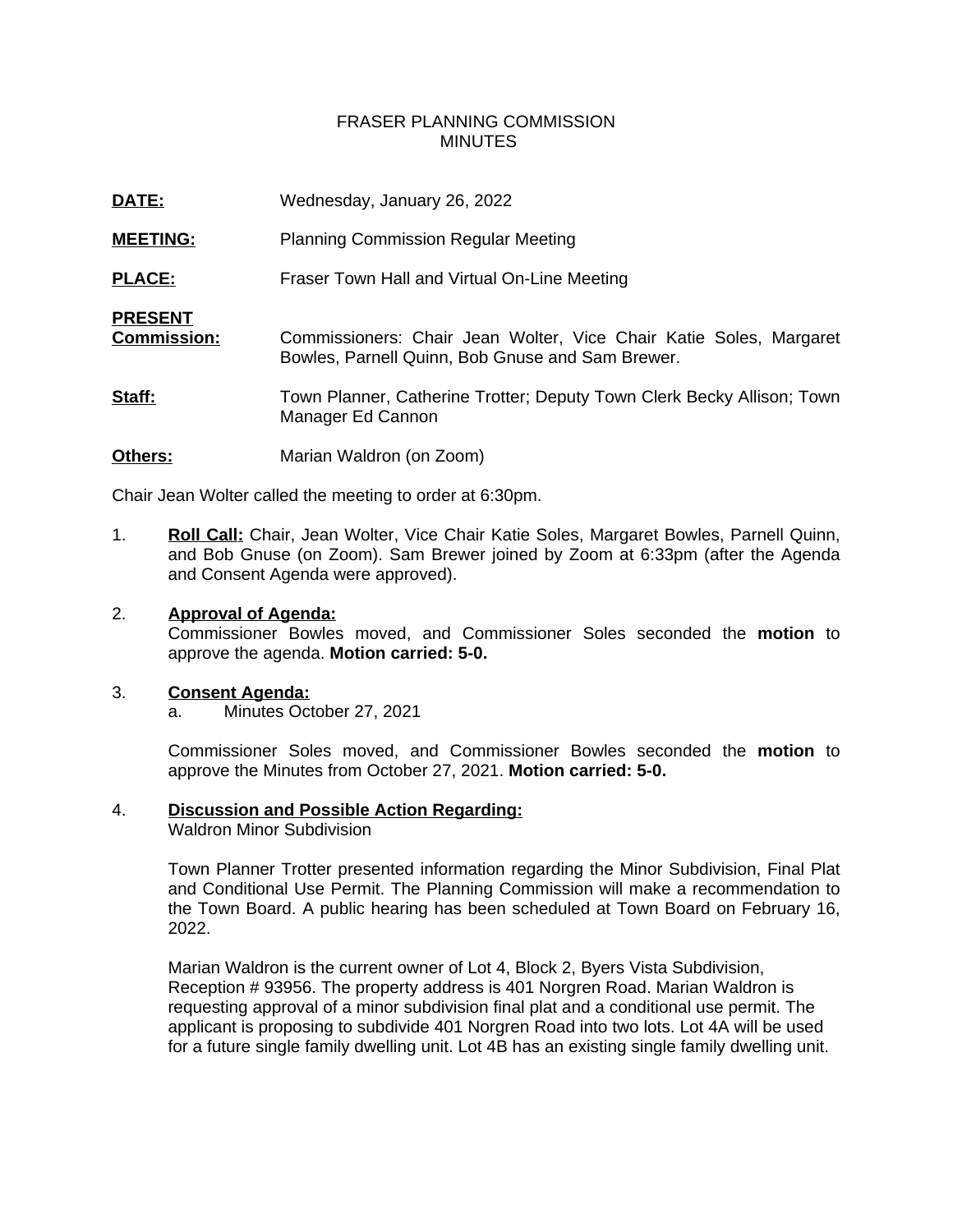# FRASER PLANNING COMMISSION MINUTES

| DATE:                                | Wednesday, January 26, 2022                                                                                            |
|--------------------------------------|------------------------------------------------------------------------------------------------------------------------|
| <b>MEETING:</b>                      | <b>Planning Commission Regular Meeting</b>                                                                             |
| <b>PLACE:</b>                        | Fraser Town Hall and Virtual On-Line Meeting                                                                           |
| <b>PRESENT</b><br><b>Commission:</b> | Commissioners: Chair Jean Wolter, Vice Chair Katie Soles, Margaret<br>Bowles, Parnell Quinn, Bob Gnuse and Sam Brewer. |
| Staff:                               | Town Planner, Catherine Trotter; Deputy Town Clerk Becky Allison; Town<br>Manager Ed Cannon                            |
| Others:                              | Marian Waldron (on Zoom)                                                                                               |

Chair Jean Wolter called the meeting to order at 6:30pm.

1. **Roll Call:** Chair, Jean Wolter, Vice Chair Katie Soles, Margaret Bowles, Parnell Quinn, and Bob Gnuse (on Zoom). Sam Brewer joined by Zoom at 6:33pm (after the Agenda and Consent Agenda were approved).

#### 2. **Approval of Agenda:**

Commissioner Bowles moved, and Commissioner Soles seconded the **motion** to approve the agenda. **Motion carried: 5-0.**

#### 3. **Consent Agenda:**

a. Minutes October 27, 2021

Commissioner Soles moved, and Commissioner Bowles seconded the **motion** to approve the Minutes from October 27, 2021. **Motion carried: 5-0.**

# 4. **Discussion and Possible Action Regarding:**

Waldron Minor Subdivision

Town Planner Trotter presented information regarding the Minor Subdivision, Final Plat and Conditional Use Permit. The Planning Commission will make a recommendation to the Town Board. A public hearing has been scheduled at Town Board on February 16, 2022.

Marian Waldron is the current owner of Lot 4, Block 2, Byers Vista Subdivision, Reception # 93956. The property address is 401 Norgren Road. Marian Waldron is requesting approval of a minor subdivision final plat and a conditional use permit. The applicant is proposing to subdivide 401 Norgren Road into two lots. Lot 4A will be used for a future single family dwelling unit. Lot 4B has an existing single family dwelling unit.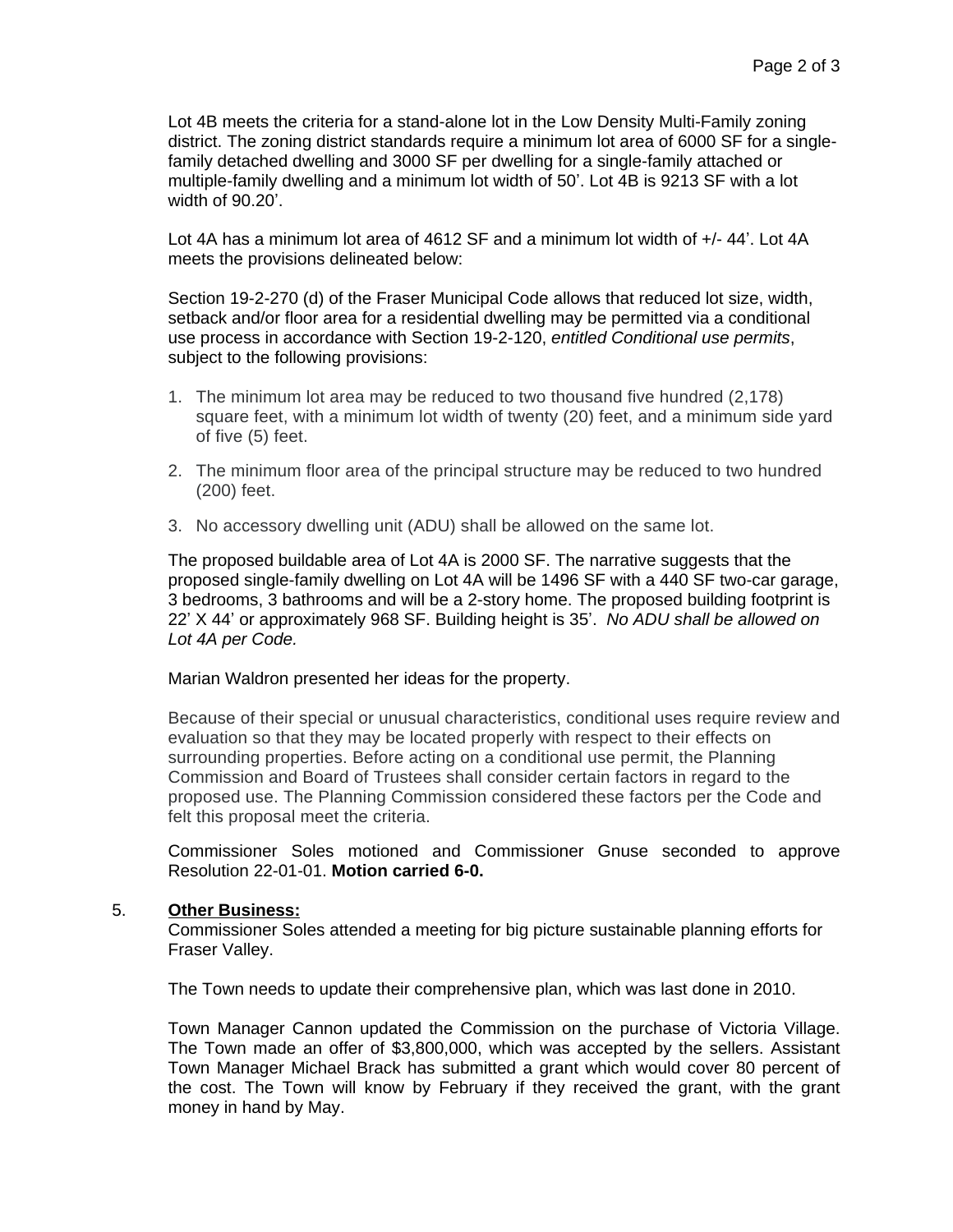Lot 4B meets the criteria for a stand-alone lot in the Low Density Multi-Family zoning district. The zoning district standards require a minimum lot area of 6000 SF for a singlefamily detached dwelling and 3000 SF per dwelling for a single-family attached or multiple-family dwelling and a minimum lot width of 50'. Lot 4B is 9213 SF with a lot width of 90.20'.

Lot 4A has a minimum lot area of 4612 SF and a minimum lot width of  $+/- 44'$ . Lot 4A meets the provisions delineated below:

Section 19-2-270 (d) of the Fraser Municipal Code allows that reduced lot size, width, setback and/or floor area for a residential dwelling may be permitted via a conditional use process in accordance with Section 19-2-120, *entitled Conditional use permits*, subject to the following provisions:

- 1. The minimum lot area may be reduced to two thousand five hundred (2,178) square feet, with a minimum lot width of twenty (20) feet, and a minimum side yard of five (5) feet.
- 2. The minimum floor area of the principal structure may be reduced to two hundred (200) feet.
- 3. No accessory dwelling unit (ADU) shall be allowed on the same lot.

The proposed buildable area of Lot 4A is 2000 SF. The narrative suggests that the proposed single-family dwelling on Lot 4A will be 1496 SF with a 440 SF two-car garage, 3 bedrooms, 3 bathrooms and will be a 2-story home. The proposed building footprint is 22' X 44' or approximately 968 SF. Building height is 35'. *No ADU shall be allowed on Lot 4A per Code.*

### Marian Waldron presented her ideas for the property.

Because of their special or unusual characteristics, conditional uses require review and evaluation so that they may be located properly with respect to their effects on surrounding properties. Before acting on a conditional use permit, the Planning Commission and Board of Trustees shall consider certain factors in regard to the proposed use. The Planning Commission considered these factors per the Code and felt this proposal meet the criteria.

Commissioner Soles motioned and Commissioner Gnuse seconded to approve Resolution 22-01-01. **Motion carried 6-0.**

# 5. **Other Business:**

Commissioner Soles attended a meeting for big picture sustainable planning efforts for Fraser Valley.

The Town needs to update their comprehensive plan, which was last done in 2010.

Town Manager Cannon updated the Commission on the purchase of Victoria Village. The Town made an offer of \$3,800,000, which was accepted by the sellers. Assistant Town Manager Michael Brack has submitted a grant which would cover 80 percent of the cost. The Town will know by February if they received the grant, with the grant money in hand by May.